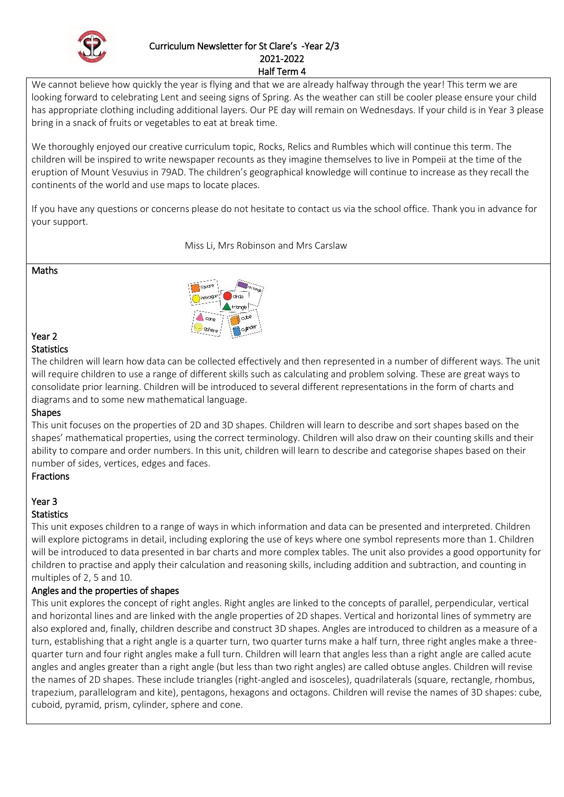

## Curriculum Newsletter for St Clare's -Year 2/3 2021-2022

Half Term 4

We cannot believe how quickly the year is flying and that we are already halfway through the year! This term we are looking forward to celebrating Lent and seeing signs of Spring. As the weather can still be cooler please ensure your child has appropriate clothing including additional layers. Our PE day will remain on Wednesdays. If your child is in Year 3 please bring in a snack of fruits or vegetables to eat at break time.

We thoroughly enjoyed our creative curriculum topic, Rocks, Relics and Rumbles which will continue this term. The children will be inspired to write newspaper recounts as they imagine themselves to live in Pompeii at the time of the eruption of Mount Vesuvius in 79AD. The children's geographical knowledge will continue to increase as they recall the continents of the world and use maps to locate places.

If you have any questions or concerns please do not hesitate to contact us via the school office. Thank you in advance for your support.

Miss Li, Mrs Robinson and Mrs Carslaw

#### Maths



#### Year 2 **Statistics**

The children will learn how data can be collected effectively and then represented in a number of different ways. The unit will require children to use a range of different skills such as calculating and problem solving. These are great ways to consolidate prior learning. Children will be introduced to several different representations in the form of charts and diagrams and to some new mathematical language.

## Shapes

This unit focuses on the properties of 2D and 3D shapes. Children will learn to describe and sort shapes based on the shapes' mathematical properties, using the correct terminology. Children will also draw on their counting skills and their ability to compare and order numbers. In this unit, children will learn to describe and categorise shapes based on their number of sides, vertices, edges and faces.

## Fractions

# Year 3

## **Statistics**

This unit exposes children to a range of ways in which information and data can be presented and interpreted. Children will explore pictograms in detail, including exploring the use of keys where one symbol represents more than 1. Children will be introduced to data presented in bar charts and more complex tables. The unit also provides a good opportunity for children to practise and apply their calculation and reasoning skills, including addition and subtraction, and counting in multiples of 2, 5 and 10.

## Angles and the properties of shapes

This unit explores the concept of right angles. Right angles are linked to the concepts of parallel, perpendicular, vertical and horizontal lines and are linked with the angle properties of 2D shapes. Vertical and horizontal lines of symmetry are also explored and, finally, children describe and construct 3D shapes. Angles are introduced to children as a measure of a turn, establishing that a right angle is a quarter turn, two quarter turns make a half turn, three right angles make a threequarter turn and four right angles make a full turn. Children will learn that angles less than a right angle are called acute angles and angles greater than a right angle (but less than two right angles) are called obtuse angles. Children will revise the names of 2D shapes. These include triangles (right-angled and isosceles), quadrilaterals (square, rectangle, rhombus, trapezium, parallelogram and kite), pentagons, hexagons and octagons. Children will revise the names of 3D shapes: cube, cuboid, pyramid, prism, cylinder, sphere and cone.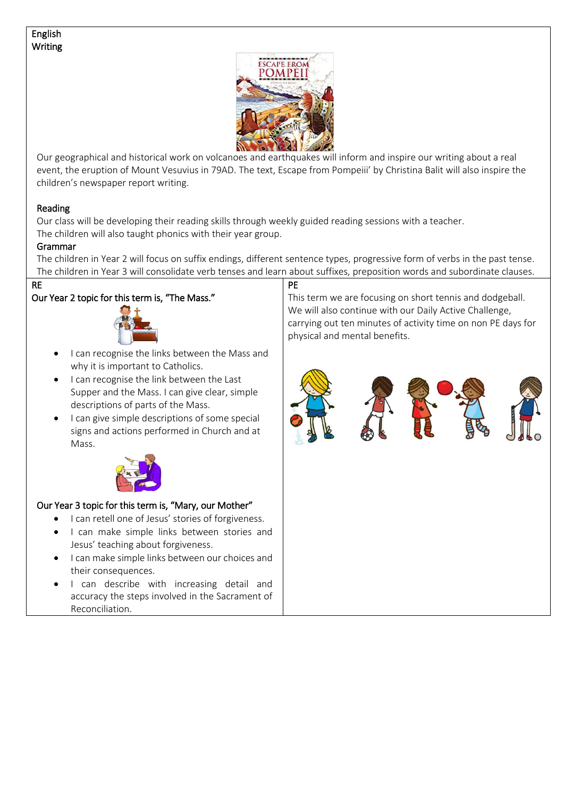#### English **Writing**



Our geographical and historical work on volcanoes and earthquakes will inform and inspire our writing about a real event, the eruption of Mount Vesuvius in 79AD. The text, Escape from Pompeiii' by Christina Balit will also inspire the children's newspaper report writing.

#### Reading

Our class will be developing their reading skills through weekly guided reading sessions with a teacher. The children will also taught phonics with their year group.

#### Grammar

The children in Year 2 will focus on suffix endings, different sentence types, progressive form of verbs in the past tense. The children in Year 3 will consolidate verb tenses and learn about suffixes, preposition words and subordinate clauses.

#### RE

## Our Year 2 topic for this term is, "The Mass."



- I can recognise the links between the Mass and why it is important to Catholics.
- I can recognise the link between the Last Supper and the Mass. I can give clear, simple descriptions of parts of the Mass.
- I can give simple descriptions of some special signs and actions performed in Church and at Mass.



#### Our Year 3 topic for this term is, "Mary, our Mother"

- I can retell one of Jesus' stories of forgiveness.
- I can make simple links between stories and Jesus' teaching about forgiveness.
- **•** I can make simple links between our choices and their consequences.
- I can describe with increasing detail and accuracy the steps involved in the Sacrament of Reconciliation.

#### PE

This term we are focusing on short tennis and dodgeball. We will also continue with our Daily Active Challenge, carrying out ten minutes of activity time on non PE days for physical and mental benefits.